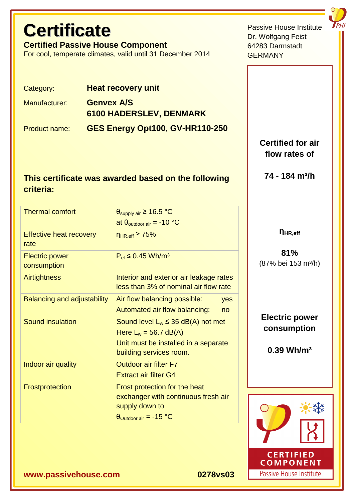# **Certificate**

**Certified Passive House Component** 

For cool, temperate climates, valid until 31 December 2014

Category: **Heat recovery unit** Manufacturer: **Genvex A/S 6100 HADERSLEV, DENMARK** Product name: **GES Energy Opt100, GV-HR110-250** 

# **This certificate was awarded based on the following criteria:**

| <b>Thermal comfort</b>                 | $\theta_{\text{supply air}} \ge 16.5 \text{ °C}$ |                     |
|----------------------------------------|--------------------------------------------------|---------------------|
|                                        | at $\theta_{\text{outdoor air}} = -10$ °C        |                     |
| <b>Effective heat recovery</b><br>rate | $n_{HR,eff} \geq 75\%$                           | $\eta_{HR,eff}$     |
| <b>Electric power</b>                  | $P_{el} \le 0.45$ Wh/m <sup>3</sup>              | 81%                 |
| consumption                            |                                                  | (87% bei 153        |
| <b>Airtightness</b>                    | Interior and exterior air leakage rates          |                     |
|                                        | less than 3% of nominal air flow rate            |                     |
| <b>Balancing and adjustability</b>     | Air flow balancing possible:<br>yes              |                     |
|                                        | Automated air flow balancing:<br>no              |                     |
| <b>Sound insulation</b>                | Sound level $L_w \leq 35$ dB(A) not met          | <b>Electric po</b>  |
|                                        | Here $L_w = 56.7$ dB(A)                          | consump<br>0.39 Wh/ |
|                                        | Unit must be installed in a separate             |                     |
|                                        | building services room.                          |                     |
| Indoor air quality                     | <b>Outdoor air filter F7</b>                     |                     |
|                                        | <b>Extract air filter G4</b>                     |                     |
| Frostprotection                        | Frost protection for the heat                    |                     |
|                                        | exchanger with continuous fresh air              |                     |
|                                        | supply down to                                   |                     |
|                                        | $\theta_{\text{Outdoor air}} = -15 \text{ °C}$   |                     |
|                                        |                                                  |                     |

**Certified for air flow rates of** 

Passive House Institute

Dr. Wolfgang Feist 64283 Darmstadt

**GERMANY** 

**74 - 184 m³/h** 

**81%**   $3 \text{ m}^3$ /h)

**Electric power consumption** 

 $\mathsf{Im}^3$ 



**www.passivehouse.com 0278vs03**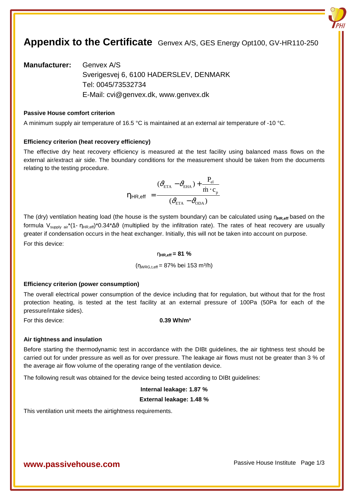# **Appendix to the Certificate** Genvex A/S, GES Energy Opt100, GV-HR110-250

**Manufacturer:** Genvex A/S Sverigesvej 6, 6100 HADERSLEV, DENMARK Tel: 0045/73532734 E-Mail: cvi@genvex.dk, www.genvex.dk

# **Passive House comfort criterion**

A minimum supply air temperature of 16.5 °C is maintained at an external air temperature of -10 °C.

#### **Efficiency criterion (heat recovery efficiency)**

The effective dry heat recovery efficiency is measured at the test facility using balanced mass flows on the external air/extract air side. The boundary conditions for the measurement should be taken from the documents relating to the testing procedure.

$$
\eta_{HR,eff} = \frac{(\partial_{ETA}^2 - \partial_{EHA}) + \frac{P_{el}}{\dot{m} \cdot c_p}}{(\partial_{ETA}^2 - \partial_{ODA})}
$$

The (dry) ventilation heating load (the house is the system boundary) can be calculated using η<sub>HR,eff</sub> based on the formula V<sub>supply air</sub>\*(1- η<sub>HR,eff</sub>)\*0.34\*∆θ (multiplied by the infiltration rate). The rates of heat recovery are usually greater if condensation occurs in the heat exchanger. Initially, this will not be taken into account on purpose. For this device:

# η**HR,eff = 81 %**

 $(n_{WRG,t,eff} = 87\% \text{ bei } 153 \text{ m}^3/\text{h})$ 

#### **Efficiency criterion (power consumption)**

The overall electrical power consumption of the device including that for regulation, but without that for the frost protection heating, is tested at the test facility at an external pressure of 100Pa (50Pa for each of the pressure/intake sides).

For this device: **0.39 Wh/m³** 

#### **Air tightness and insulation**

Before starting the thermodynamic test in accordance with the DIBt guidelines, the air tightness test should be carried out for under pressure as well as for over pressure. The leakage air flows must not be greater than 3 % of the average air flow volume of the operating range of the ventilation device.

The following result was obtained for the device being tested according to DIBt guidelines:

#### **Internal leakage: 1.87 %**

### **External leakage: 1.48 %**

This ventilation unit meets the airtightness requirements.

# **WWW.passivehouse.com Passive House Institute Page 1/3**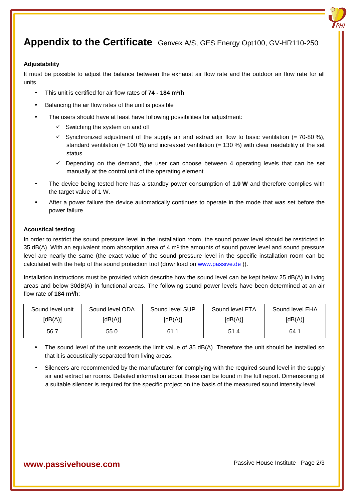# **Appendix to the Certificate** Genvex A/S, GES Energy Opt100, GV-HR110-250

# **Adjustability**

It must be possible to adjust the balance between the exhaust air flow rate and the outdoor air flow rate for all units.

- This unit is certified for air flow rates of **74 184 m³/h**
- Balancing the air flow rates of the unit is possible
- The users should have at least have following possibilities for adjustment:
	- $\checkmark$  Switching the system on and off
	- $\checkmark$  Synchronized adjustment of the supply air and extract air flow to basic ventilation (= 70-80 %), standard ventilation (= 100 %) and increased ventilation (= 130 %) with clear readability of the set status.
	- $\checkmark$  Depending on the demand, the user can choose between 4 operating levels that can be set manually at the control unit of the operating element.
- The device being tested here has a standby power consumption of **1.0 W** and therefore complies with the target value of 1 W.
- After a power failure the device automatically continues to operate in the mode that was set before the power failure.

### **Acoustical testing**

In order to restrict the sound pressure level in the installation room, the sound power level should be restricted to 35 dB(A). With an equivalent room absorption area of 4 m² the amounts of sound power level and sound pressure level are nearly the same (the exact value of the sound pressure level in the specific installation room can be calculated with the help of the sound protection tool (download on www.passive.de )).

Installation instructions must be provided which describe how the sound level can be kept below 25 dB(A) in living areas and below 30dB(A) in functional areas. The following sound power levels have been determined at an air flow rate of **184 m³/h**:

| Sound level unit | Sound level ODA | Sound level SUP | Sound level ETA | Sound level EHA |
|------------------|-----------------|-----------------|-----------------|-----------------|
| [dB(A)]          | [dB(A)]         | [dB(A)]         | [dB(A)]         | [dB(A)]         |
| 56.7             | 55.0            | 61.1            | 51.4            | 64.1            |

- The sound level of the unit exceeds the limit value of 35 dB(A). Therefore the unit should be installed so that it is acoustically separated from living areas.
- Silencers are recommended by the manufacturer for complying with the required sound level in the supply air and extract air rooms. Detailed information about these can be found in the full report. Dimensioning of a suitable silencer is required for the specific project on the basis of the measured sound intensity level.

# **WWW.passivehouse.com Passive House Institute Page 2/3**